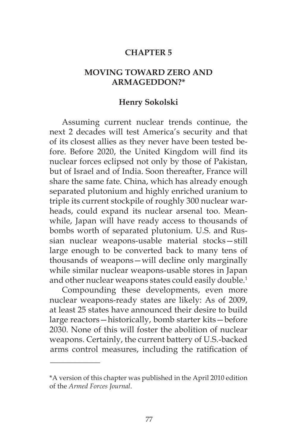### **CHAPTER 5**

### **MOVING TOWARD ZERO AND ARMAGEDDON?\***

#### **Henry Sokolski**

Assuming current nuclear trends continue, the next 2 decades will test America's security and that of its closest allies as they never have been tested before. Before 2020, the United Kingdom will find its nuclear forces eclipsed not only by those of Pakistan, but of Israel and of India. Soon thereafter, France will share the same fate. China, which has already enough separated plutonium and highly enriched uranium to triple its current stockpile of roughly 300 nuclear warheads, could expand its nuclear arsenal too. Meanwhile, Japan will have ready access to thousands of bombs worth of separated plutonium. U.S. and Russian nuclear weapons-usable material stocks—still large enough to be converted back to many tens of thousands of weapons—will decline only marginally while similar nuclear weapons-usable stores in Japan and other nuclear weapons states could easily double.<sup>1</sup>

Compounding these developments, even more nuclear weapons-ready states are likely: As of 2009, at least 25 states have announced their desire to build large reactors—historically, bomb starter kits—before 2030. None of this will foster the abolition of nuclear weapons. Certainly, the current battery of U.S.-backed arms control measures, including the ratification of

\_\_\_\_\_\_\_\_\_\_\_\_

<sup>\*</sup>A version of this chapter was published in the April 2010 edition of the *Armed Forces Journal*.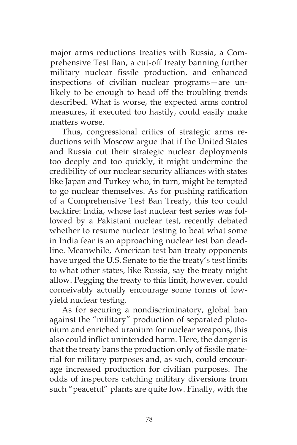major arms reductions treaties with Russia, a Comprehensive Test Ban, a cut-off treaty banning further military nuclear fissile production, and enhanced inspections of civilian nuclear programs—are unlikely to be enough to head off the troubling trends described. What is worse, the expected arms control measures, if executed too hastily, could easily make matters worse.

Thus, congressional critics of strategic arms reductions with Moscow argue that if the United States and Russia cut their strategic nuclear deployments too deeply and too quickly, it might undermine the credibility of our nuclear security alliances with states like Japan and Turkey who, in turn, might be tempted to go nuclear themselves. As for pushing ratification of a Comprehensive Test Ban Treaty, this too could backfire: India, whose last nuclear test series was followed by a Pakistani nuclear test, recently debated whether to resume nuclear testing to beat what some in India fear is an approaching nuclear test ban deadline. Meanwhile, American test ban treaty opponents have urged the U.S. Senate to tie the treaty's test limits to what other states, like Russia, say the treaty might allow. Pegging the treaty to this limit, however, could conceivably actually encourage some forms of lowyield nuclear testing.

As for securing a nondiscriminatory, global ban against the "military" production of separated plutonium and enriched uranium for nuclear weapons, this also could inflict unintended harm. Here, the danger is that the treaty bans the production only of fissile material for military purposes and, as such, could encourage increased production for civilian purposes. The odds of inspectors catching military diversions from such "peaceful" plants are quite low. Finally, with the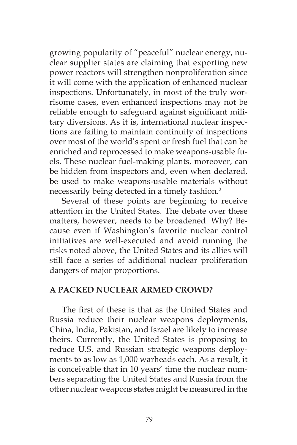growing popularity of "peaceful" nuclear energy, nuclear supplier states are claiming that exporting new power reactors will strengthen nonproliferation since it will come with the application of enhanced nuclear inspections. Unfortunately, in most of the truly worrisome cases, even enhanced inspections may not be reliable enough to safeguard against significant military diversions. As it is, international nuclear inspections are failing to maintain continuity of inspections over most of the world's spent or fresh fuel that can be enriched and reprocessed to make weapons-usable fuels. These nuclear fuel-making plants, moreover, can be hidden from inspectors and, even when declared, be used to make weapons-usable materials without necessarily being detected in a timely fashion.<sup>2</sup>

Several of these points are beginning to receive attention in the United States. The debate over these matters, however, needs to be broadened. Why? Because even if Washington's favorite nuclear control initiatives are well-executed and avoid running the risks noted above, the United States and its allies will still face a series of additional nuclear proliferation dangers of major proportions.

# **A PACKED NUCLEAR ARMED CROWD?**

The first of these is that as the United States and Russia reduce their nuclear weapons deployments, China, India, Pakistan, and Israel are likely to increase theirs. Currently, the United States is proposing to reduce U.S. and Russian strategic weapons deployments to as low as 1,000 warheads each. As a result, it is conceivable that in 10 years' time the nuclear numbers separating the United States and Russia from the other nuclear weapons states might be measured in the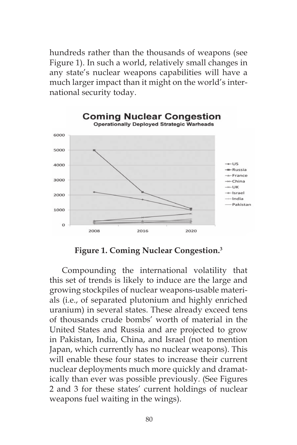hundreds rather than the thousands of weapons (see Figure 1). In such a world, relatively small changes in any state's nuclear weapons capabilities will have a much larger impact than it might on the world's international security today.



**Figure 1. Coming Nuclear Congestion.3**

Compounding the international volatility that this set of trends is likely to induce are the large and growing stockpiles of nuclear weapons-usable materials (i.e., of separated plutonium and highly enriched uranium) in several states. These already exceed tens of thousands crude bombs' worth of material in the United States and Russia and are projected to grow in Pakistan, India, China, and Israel (not to mention Japan, which currently has no nuclear weapons). This will enable these four states to increase their current nuclear deployments much more quickly and dramatically than ever was possible previously. (See Figures 2 and 3 for these states' current holdings of nuclear weapons fuel waiting in the wings).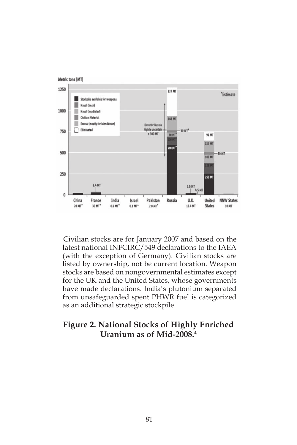

Civilian stocks are for January 2007 and based on the latest national INFCIRC/549 declarations to the IAEA (with the exception of Germany). Civilian stocks are listed by ownership, not be current location. Weapon stocks are based on nongovernmental estimates except for the UK and the United States, whose governments have made declarations. India's plutonium separated from unsafeguarded spent PHWR fuel is categorized as an additional strategic stockpile.

# **Figure 2. National Stocks of Highly Enriched Uranium as of Mid-2008.4**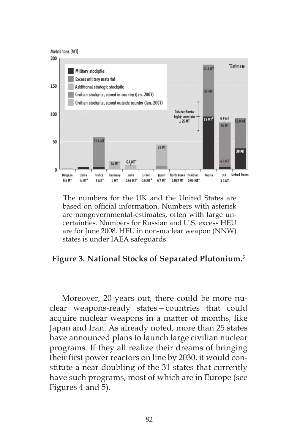

The numbers for the UK and the United States are based on official information. Numbers with asterisk are nongovernmental-estimates, often with large uncertainties. Numbers for Russian and U.S. excess HEU are for June 2008. HEU in non-nuclear weapon (NNW) states is under IAEA safeguards.

# **Figure 3. National Stocks of Separated Plutonium.5**

Moreover, 20 years out, there could be more nuclear weapons-ready states—countries that could acquire nuclear weapons in a matter of months, like Japan and Iran. As already noted, more than 25 states have announced plans to launch large civilian nuclear programs. If they all realize their dreams of bringing their first power reactors on line by 2030, it would constitute a near doubling of the 31 states that currently have such programs, most of which are in Europe (see Figures 4 and 5).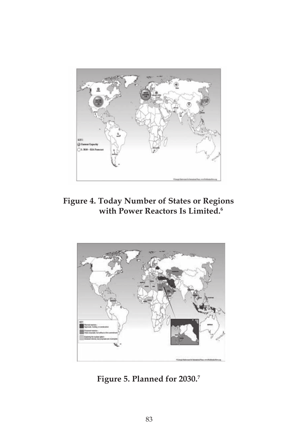

**Figure 4. Today Number of States or Regions with Power Reactors Is Limited.6**



**Figure 5. Planned for 2030.7**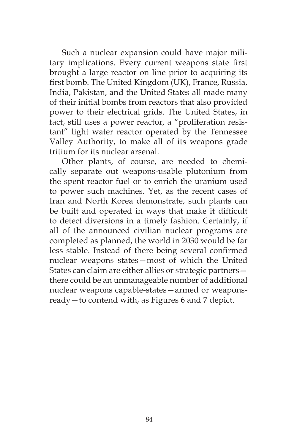Such a nuclear expansion could have major military implications. Every current weapons state first brought a large reactor on line prior to acquiring its first bomb. The United Kingdom (UK), France, Russia, India, Pakistan, and the United States all made many of their initial bombs from reactors that also provided power to their electrical grids. The United States, in fact, still uses a power reactor, a "proliferation resistant" light water reactor operated by the Tennessee Valley Authority, to make all of its weapons grade tritium for its nuclear arsenal.

Other plants, of course, are needed to chemically separate out weapons-usable plutonium from the spent reactor fuel or to enrich the uranium used to power such machines. Yet, as the recent cases of Iran and North Korea demonstrate, such plants can be built and operated in ways that make it difficult to detect diversions in a timely fashion. Certainly, if all of the announced civilian nuclear programs are completed as planned, the world in 2030 would be far less stable. Instead of there being several confirmed nuclear weapons states—most of which the United States can claim are either allies or strategic partners there could be an unmanageable number of additional nuclear weapons capable-states—armed or weaponsready—to contend with, as Figures 6 and 7 depict.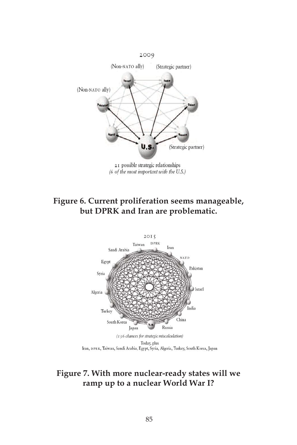

# **Figure 6. Current proliferation seems manageable, but DPRK and Iran are problematic.**



# **Figure 7. With more nuclear-ready states will we ramp up to a nuclear World War I?**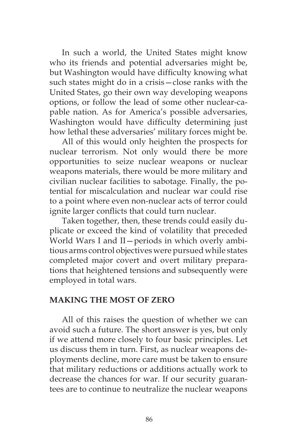In such a world, the United States might know who its friends and potential adversaries might be, but Washington would have difficulty knowing what such states might do in a crisis—close ranks with the United States, go their own way developing weapons options, or follow the lead of some other nuclear-capable nation. As for America's possible adversaries, Washington would have difficulty determining just how lethal these adversaries' military forces might be.

All of this would only heighten the prospects for nuclear terrorism. Not only would there be more opportunities to seize nuclear weapons or nuclear weapons materials, there would be more military and civilian nuclear facilities to sabotage. Finally, the potential for miscalculation and nuclear war could rise to a point where even non-nuclear acts of terror could ignite larger conflicts that could turn nuclear.

Taken together, then, these trends could easily duplicate or exceed the kind of volatility that preceded World Wars I and II—periods in which overly ambitious arms control objectives were pursued while states completed major covert and overt military preparations that heightened tensions and subsequently were employed in total wars.

### **MAKING THE MOST OF ZERO**

All of this raises the question of whether we can avoid such a future. The short answer is yes, but only if we attend more closely to four basic principles. Let us discuss them in turn. First, as nuclear weapons deployments decline, more care must be taken to ensure that military reductions or additions actually work to decrease the chances for war. If our security guarantees are to continue to neutralize the nuclear weapons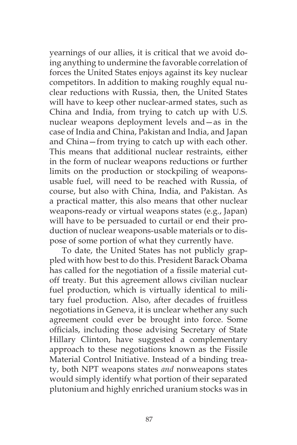yearnings of our allies, it is critical that we avoid doing anything to undermine the favorable correlation of forces the United States enjoys against its key nuclear competitors. In addition to making roughly equal nuclear reductions with Russia, then, the United States will have to keep other nuclear-armed states, such as China and India, from trying to catch up with U.S. nuclear weapons deployment levels and—as in the case of India and China, Pakistan and India, and Japan and China—from trying to catch up with each other. This means that additional nuclear restraints, either in the form of nuclear weapons reductions or further limits on the production or stockpiling of weaponsusable fuel, will need to be reached with Russia, of course, but also with China, India, and Pakistan. As a practical matter, this also means that other nuclear weapons-ready or virtual weapons states (e.g., Japan) will have to be persuaded to curtail or end their production of nuclear weapons-usable materials or to dispose of some portion of what they currently have.

To date, the United States has not publicly grappled with how best to do this. President Barack Obama has called for the negotiation of a fissile material cutoff treaty. But this agreement allows civilian nuclear fuel production, which is virtually identical to military fuel production. Also, after decades of fruitless negotiations in Geneva, it is unclear whether any such agreement could ever be brought into force. Some officials, including those advising Secretary of State Hillary Clinton, have suggested a complementary approach to these negotiations known as the Fissile Material Control Initiative. Instead of a binding treaty, both NPT weapons states *and* nonweapons states would simply identify what portion of their separated plutonium and highly enriched uranium stocks was in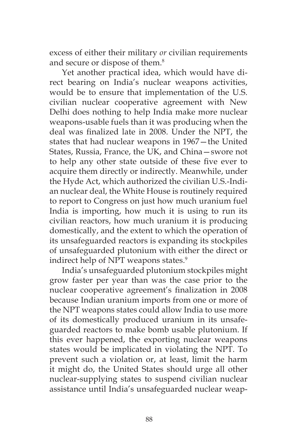excess of either their military *or* civilian requirements and secure or dispose of them.<sup>8</sup>

Yet another practical idea, which would have direct bearing on India's nuclear weapons activities, would be to ensure that implementation of the U.S. civilian nuclear cooperative agreement with New Delhi does nothing to help India make more nuclear weapons-usable fuels than it was producing when the deal was finalized late in 2008. Under the NPT, the states that had nuclear weapons in 1967—the United States, Russia, France, the UK, and China—swore not to help any other state outside of these five ever to acquire them directly or indirectly. Meanwhile, under the Hyde Act, which authorized the civilian U.S.-Indian nuclear deal, the White House is routinely required to report to Congress on just how much uranium fuel India is importing, how much it is using to run its civilian reactors, how much uranium it is producing domestically, and the extent to which the operation of its unsafeguarded reactors is expanding its stockpiles of unsafeguarded plutonium with either the direct or indirect help of NPT weapons states.<sup>9</sup>

India's unsafeguarded plutonium stockpiles might grow faster per year than was the case prior to the nuclear cooperative agreement's finalization in 2008 because Indian uranium imports from one or more of the NPT weapons states could allow India to use more of its domestically produced uranium in its unsafeguarded reactors to make bomb usable plutonium. If this ever happened, the exporting nuclear weapons states would be implicated in violating the NPT. To prevent such a violation or, at least, limit the harm it might do, the United States should urge all other nuclear-supplying states to suspend civilian nuclear assistance until India's unsafeguarded nuclear weap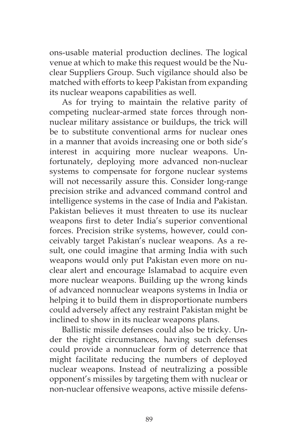ons-usable material production declines. The logical venue at which to make this request would be the Nuclear Suppliers Group. Such vigilance should also be matched with efforts to keep Pakistan from expanding its nuclear weapons capabilities as well.

As for trying to maintain the relative parity of competing nuclear-armed state forces through nonnuclear military assistance or buildups, the trick will be to substitute conventional arms for nuclear ones in a manner that avoids increasing one or both side's interest in acquiring more nuclear weapons. Unfortunately, deploying more advanced non-nuclear systems to compensate for forgone nuclear systems will not necessarily assure this. Consider long-range precision strike and advanced command control and intelligence systems in the case of India and Pakistan. Pakistan believes it must threaten to use its nuclear weapons first to deter India's superior conventional forces. Precision strike systems, however, could conceivably target Pakistan's nuclear weapons. As a result, one could imagine that arming India with such weapons would only put Pakistan even more on nuclear alert and encourage Islamabad to acquire even more nuclear weapons. Building up the wrong kinds of advanced nonnuclear weapons systems in India or helping it to build them in disproportionate numbers could adversely affect any restraint Pakistan might be inclined to show in its nuclear weapons plans.

Ballistic missile defenses could also be tricky. Under the right circumstances, having such defenses could provide a nonnuclear form of deterrence that might facilitate reducing the numbers of deployed nuclear weapons. Instead of neutralizing a possible opponent's missiles by targeting them with nuclear or non-nuclear offensive weapons, active missile defens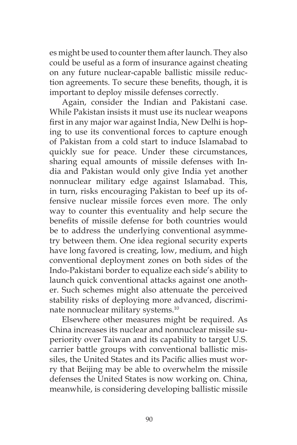es might be used to counter them after launch. They also could be useful as a form of insurance against cheating on any future nuclear-capable ballistic missile reduction agreements. To secure these benefits, though, it is important to deploy missile defenses correctly.

Again, consider the Indian and Pakistani case. While Pakistan insists it must use its nuclear weapons first in any major war against India, New Delhi is hoping to use its conventional forces to capture enough of Pakistan from a cold start to induce Islamabad to quickly sue for peace. Under these circumstances, sharing equal amounts of missile defenses with India and Pakistan would only give India yet another nonnuclear military edge against Islamabad. This, in turn, risks encouraging Pakistan to beef up its offensive nuclear missile forces even more. The only way to counter this eventuality and help secure the benefits of missile defense for both countries would be to address the underlying conventional asymmetry between them. One idea regional security experts have long favored is creating, low, medium, and high conventional deployment zones on both sides of the Indo-Pakistani border to equalize each side's ability to launch quick conventional attacks against one another. Such schemes might also attenuate the perceived stability risks of deploying more advanced, discriminate nonnuclear military systems.10

Elsewhere other measures might be required. As China increases its nuclear and nonnuclear missile superiority over Taiwan and its capability to target U.S. carrier battle groups with conventional ballistic missiles, the United States and its Pacific allies must worry that Beijing may be able to overwhelm the missile defenses the United States is now working on. China, meanwhile, is considering developing ballistic missile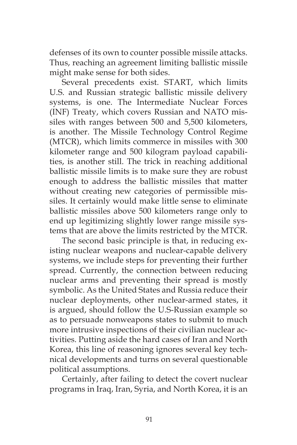defenses of its own to counter possible missile attacks. Thus, reaching an agreement limiting ballistic missile might make sense for both sides.

Several precedents exist. START, which limits U.S. and Russian strategic ballistic missile delivery systems, is one. The Intermediate Nuclear Forces (INF) Treaty, which covers Russian and NATO missiles with ranges between 500 and 5,500 kilometers, is another. The Missile Technology Control Regime (MTCR), which limits commerce in missiles with 300 kilometer range and 500 kilogram payload capabilities, is another still. The trick in reaching additional ballistic missile limits is to make sure they are robust enough to address the ballistic missiles that matter without creating new categories of permissible missiles. It certainly would make little sense to eliminate ballistic missiles above 500 kilometers range only to end up legitimizing slightly lower range missile systems that are above the limits restricted by the MTCR.

The second basic principle is that, in reducing existing nuclear weapons and nuclear-capable delivery systems, we include steps for preventing their further spread. Currently, the connection between reducing nuclear arms and preventing their spread is mostly symbolic. As the United States and Russia reduce their nuclear deployments, other nuclear-armed states, it is argued, should follow the U.S-Russian example so as to persuade nonweapons states to submit to much more intrusive inspections of their civilian nuclear activities. Putting aside the hard cases of Iran and North Korea, this line of reasoning ignores several key technical developments and turns on several questionable political assumptions.

Certainly, after failing to detect the covert nuclear programs in Iraq, Iran, Syria, and North Korea, it is an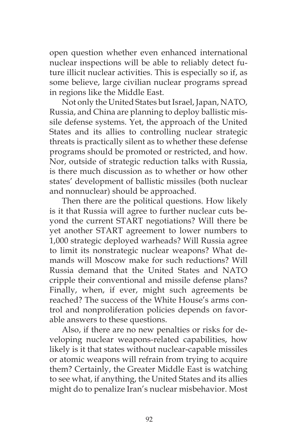open question whether even enhanced international nuclear inspections will be able to reliably detect future illicit nuclear activities. This is especially so if, as some believe, large civilian nuclear programs spread in regions like the Middle East.

Not only the United States but Israel, Japan, NATO, Russia, and China are planning to deploy ballistic missile defense systems. Yet, the approach of the United States and its allies to controlling nuclear strategic threats is practically silent as to whether these defense programs should be promoted or restricted, and how. Nor, outside of strategic reduction talks with Russia, is there much discussion as to whether or how other states' development of ballistic missiles (both nuclear and nonnuclear) should be approached.

Then there are the political questions. How likely is it that Russia will agree to further nuclear cuts beyond the current START negotiations? Will there be yet another START agreement to lower numbers to 1,000 strategic deployed warheads? Will Russia agree to limit its nonstrategic nuclear weapons? What demands will Moscow make for such reductions? Will Russia demand that the United States and NATO cripple their conventional and missile defense plans? Finally, when, if ever, might such agreements be reached? The success of the White House's arms control and nonproliferation policies depends on favorable answers to these questions.

Also, if there are no new penalties or risks for developing nuclear weapons-related capabilities, how likely is it that states without nuclear-capable missiles or atomic weapons will refrain from trying to acquire them? Certainly, the Greater Middle East is watching to see what, if anything, the United States and its allies might do to penalize Iran's nuclear misbehavior. Most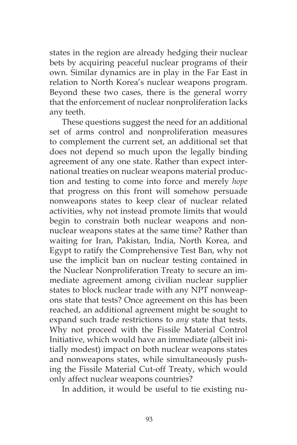states in the region are already hedging their nuclear bets by acquiring peaceful nuclear programs of their own. Similar dynamics are in play in the Far East in relation to North Korea's nuclear weapons program. Beyond these two cases, there is the general worry that the enforcement of nuclear nonproliferation lacks any teeth.

These questions suggest the need for an additional set of arms control and nonproliferation measures to complement the current set, an additional set that does not depend so much upon the legally binding agreement of any one state. Rather than expect international treaties on nuclear weapons material production and testing to come into force and merely *hope* that progress on this front will somehow persuade nonweapons states to keep clear of nuclear related activities, why not instead promote limits that would begin to constrain both nuclear weapons and nonnuclear weapons states at the same time? Rather than waiting for Iran, Pakistan, India, North Korea, and Egypt to ratify the Comprehensive Test Ban, why not use the implicit ban on nuclear testing contained in the Nuclear Nonproliferation Treaty to secure an immediate agreement among civilian nuclear supplier states to block nuclear trade with any NPT nonweapons state that tests? Once agreement on this has been reached, an additional agreement might be sought to expand such trade restrictions to *any* state that tests. Why not proceed with the Fissile Material Control Initiative, which would have an immediate (albeit initially modest) impact on both nuclear weapons states and nonweapons states, while simultaneously pushing the Fissile Material Cut-off Treaty, which would only affect nuclear weapons countries?

In addition, it would be useful to tie existing nu-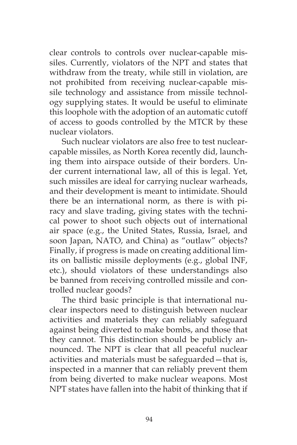clear controls to controls over nuclear-capable missiles. Currently, violators of the NPT and states that withdraw from the treaty, while still in violation, are not prohibited from receiving nuclear-capable missile technology and assistance from missile technology supplying states. It would be useful to eliminate this loophole with the adoption of an automatic cutoff of access to goods controlled by the MTCR by these nuclear violators.

Such nuclear violators are also free to test nuclearcapable missiles, as North Korea recently did, launching them into airspace outside of their borders. Under current international law, all of this is legal. Yet, such missiles are ideal for carrying nuclear warheads, and their development is meant to intimidate. Should there be an international norm, as there is with piracy and slave trading, giving states with the technical power to shoot such objects out of international air space (e.g., the United States, Russia, Israel, and soon Japan, NATO, and China) as "outlaw" objects? Finally, if progress is made on creating additional limits on ballistic missile deployments (e.g., global INF, etc.), should violators of these understandings also be banned from receiving controlled missile and controlled nuclear goods?

The third basic principle is that international nuclear inspectors need to distinguish between nuclear activities and materials they can reliably safeguard against being diverted to make bombs, and those that they cannot. This distinction should be publicly announced. The NPT is clear that all peaceful nuclear activities and materials must be safeguarded—that is, inspected in a manner that can reliably prevent them from being diverted to make nuclear weapons. Most NPT states have fallen into the habit of thinking that if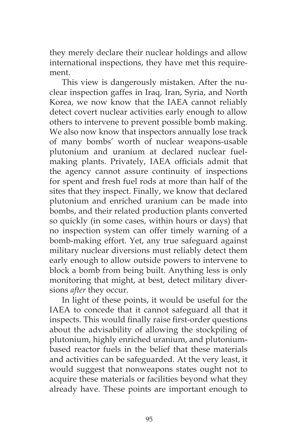they merely declare their nuclear holdings and allow international inspections, they have met this requirement.

This view is dangerously mistaken. After the nuclear inspection gaffes in Iraq, Iran, Syria, and North Korea, we now know that the IAEA cannot reliably detect covert nuclear activities early enough to allow others to intervene to prevent possible bomb making. We also now know that inspectors annually lose track of many bombs' worth of nuclear weapons-usable plutonium and uranium at declared nuclear fuelmaking plants. Privately, IAEA officials admit that the agency cannot assure continuity of inspections for spent and fresh fuel rods at more than half of the sites that they inspect. Finally, we know that declared plutonium and enriched uranium can be made into bombs, and their related production plants converted so quickly (in some cases, within hours or days) that no inspection system can offer timely warning of a bomb-making effort. Yet, any true safeguard against military nuclear diversions must reliably detect them early enough to allow outside powers to intervene to block a bomb from being built. Anything less is only monitoring that might, at best, detect military diversions *after* they occur.

In light of these points, it would be useful for the IAEA to concede that it cannot safeguard all that it inspects. This would finally raise first-order questions about the advisability of allowing the stockpiling of plutonium, highly enriched uranium, and plutoniumbased reactor fuels in the belief that these materials and activities can be safeguarded. At the very least, it would suggest that nonweapons states ought not to acquire these materials or facilities beyond what they already have. These points are important enough to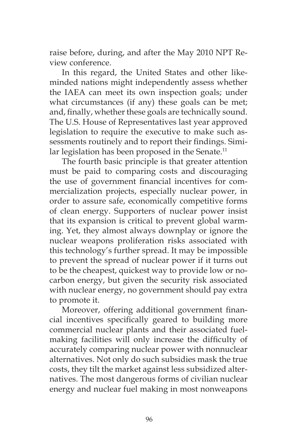raise before, during, and after the May 2010 NPT Review conference.

In this regard, the United States and other likeminded nations might independently assess whether the IAEA can meet its own inspection goals; under what circumstances (if any) these goals can be met; and, finally, whether these goals are technically sound. The U.S. House of Representatives last year approved legislation to require the executive to make such assessments routinely and to report their findings. Similar legislation has been proposed in the Senate.<sup>11</sup>

The fourth basic principle is that greater attention must be paid to comparing costs and discouraging the use of government financial incentives for commercialization projects, especially nuclear power, in order to assure safe, economically competitive forms of clean energy. Supporters of nuclear power insist that its expansion is critical to prevent global warming. Yet, they almost always downplay or ignore the nuclear weapons proliferation risks associated with this technology's further spread. It may be impossible to prevent the spread of nuclear power if it turns out to be the cheapest, quickest way to provide low or nocarbon energy, but given the security risk associated with nuclear energy, no government should pay extra to promote it.

Moreover, offering additional government financial incentives specifically geared to building more commercial nuclear plants and their associated fuelmaking facilities will only increase the difficulty of accurately comparing nuclear power with nonnuclear alternatives. Not only do such subsidies mask the true costs, they tilt the market against less subsidized alternatives. The most dangerous forms of civilian nuclear energy and nuclear fuel making in most nonweapons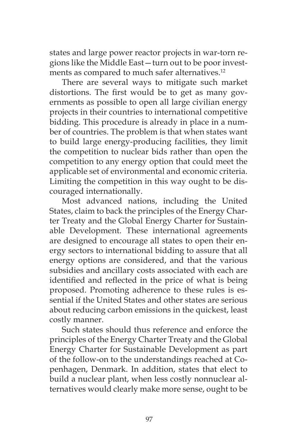states and large power reactor projects in war-torn regions like the Middle East—turn out to be poor investments as compared to much safer alternatives.<sup>12</sup>

There are several ways to mitigate such market distortions. The first would be to get as many governments as possible to open all large civilian energy projects in their countries to international competitive bidding. This procedure is already in place in a number of countries. The problem is that when states want to build large energy-producing facilities, they limit the competition to nuclear bids rather than open the competition to any energy option that could meet the applicable set of environmental and economic criteria. Limiting the competition in this way ought to be discouraged internationally.

Most advanced nations, including the United States, claim to back the principles of the Energy Charter Treaty and the Global Energy Charter for Sustainable Development. These international agreements are designed to encourage all states to open their energy sectors to international bidding to assure that all energy options are considered, and that the various subsidies and ancillary costs associated with each are identified and reflected in the price of what is being proposed. Promoting adherence to these rules is essential if the United States and other states are serious about reducing carbon emissions in the quickest, least costly manner.

Such states should thus reference and enforce the principles of the Energy Charter Treaty and the Global Energy Charter for Sustainable Development as part of the follow-on to the understandings reached at Copenhagen, Denmark. In addition, states that elect to build a nuclear plant, when less costly nonnuclear alternatives would clearly make more sense, ought to be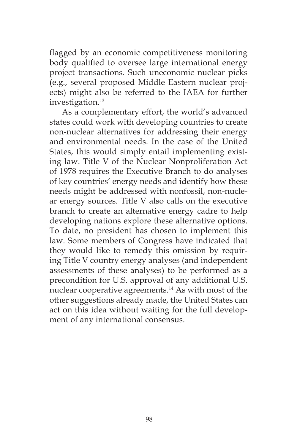flagged by an economic competitiveness monitoring body qualified to oversee large international energy project transactions. Such uneconomic nuclear picks (e.g., several proposed Middle Eastern nuclear projects) might also be referred to the IAEA for further investigation.<sup>13</sup>

As a complementary effort, the world's advanced states could work with developing countries to create non-nuclear alternatives for addressing their energy and environmental needs. In the case of the United States, this would simply entail implementing existing law. Title V of the Nuclear Nonproliferation Act of 1978 requires the Executive Branch to do analyses of key countries' energy needs and identify how these needs might be addressed with nonfossil, non-nuclear energy sources. Title V also calls on the executive branch to create an alternative energy cadre to help developing nations explore these alternative options. To date, no president has chosen to implement this law. Some members of Congress have indicated that they would like to remedy this omission by requiring Title V country energy analyses (and independent assessments of these analyses) to be performed as a precondition for U.S. approval of any additional U.S. nuclear cooperative agreements.<sup>14</sup> As with most of the other suggestions already made, the United States can act on this idea without waiting for the full development of any international consensus.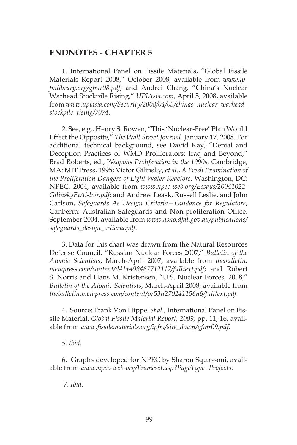### **ENDNOTES - CHAPTER 5**

1. International Panel on Fissile Materials, "Global Fissile Materials Report 2008," October 2008, available from *www.ipfmlibrary.org/gfmr08.pdf*; and Andrei Chang, "China's Nuclear Warhead Stockpile Rising," *UPIAsia.com*, April 5, 2008, available from *www.upiasia.com/Security/2008/04/05/chinas\_nuclear\_warhead\_ stockpile\_rising/7074*.

2. See, e.g., Henry S. Rowen, "This 'Nuclear-Free' Plan Would Effect the Opposite," *The Wall Street Journal,* January 17, 2008. For additional technical background, see David Kay, "Denial and Deception Practices of WMD Proliferators: Iraq and Beyond," Brad Roberts, ed., *Weapons Proliferation in the 1990s*, Cambridge, MA: MIT Press, 1995; Victor Gilinsky, *et al*., *A Fresh Examination of the Proliferation Dangers of Light Water Reactors*, Washington, DC: NPEC, 2004, available from *www.npec-web.org/Essays/20041022- GilinskyEtAl-lwr.pdf*; and Andrew Leask, Russell Leslie, and John Carlson, *Safeguards As Design Criteria—Guidance for Regulators*, Canberra: Australian Safeguards and Non-proliferation Office, September 2004, available from *www.asno.dfat.gov.au/publications/ safeguards\_design\_criteria.pdf*.

3. Data for this chart was drawn from the Natural Resources Defense Council, "Russian Nuclear Forces 2007," *Bulletin of the Atomic Scientists*, March-April 2007, available from *thebulletin. metapress.com/content/d41x498467712117/fulltext.pdf*; and Robert S. Norris and Hans M. Kristensen, "U.S. Nuclear Forces, 2008," *Bulletin of the Atomic Scientists*, March-April 2008, available from *thebulletin.metapress.com/content/pr53n270241156n6/fulltext.pdf.*

4. Source: Frank Von Hippel *et al*., International Panel on Fissile Material, *Global Fissile Material Report, 2009,* pp. 11, 16, available from *www.fissilematerials.org/ipfm/site\_down/gfmr09.pdf*.

*5. Ibid.*

6. Graphs developed for NPEC by Sharon Squassoni, available from *www.npec-web-org/Frameset.asp?PageType=Projects*.

7. *Ibid.*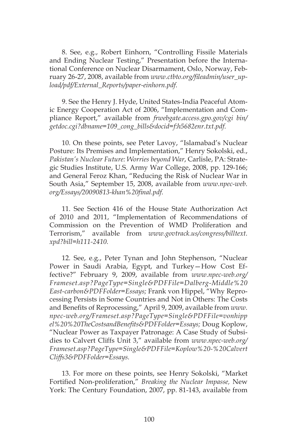8. See, e.g., Robert Einhorn, "Controlling Fissile Materials and Ending Nuclear Testing," Presentation before the International Conference on Nuclear Disarmament, Oslo, Norway, February 26-27, 2008, available from *www.ctbto.org/fileadmin/user\_upload/pdf/External\_Reports/paper-einhorn.pdf.*

9. See the Henry J. Hyde, United States-India Peaceful Atomic Energy Cooperation Act of 2006, "Implementation and Compliance Report," available from *frwebgate.access.gpo.gov/cgi bin/ getdoc.cgi?dbname=109\_cong\_bills&docid=f:h5682enr.txt.pdf.*

10. On these points, see Peter Lavoy, "Islamabad's Nuclear Posture: Its Premises and Implementation," Henry Sokolski, ed., *Pakistan's Nuclear Future: Worries beyond War*, Carlisle, PA: Strategic Studies Institute, U.S. Army War College, 2008, pp. 129-166; and General Feroz Khan, "Reducing the Risk of Nuclear War in South Asia," September 15, 2008, available from *www.npec-web. org/Essays/20090813-khan%20final.pdf.*

11. See Section 416 of the House State Authorization Act of 2010 and 2011, "Implementation of Recommendations of Commission on the Prevention of WMD Proliferation and Terrorism," available from *www.govtrack.us/congress/billtext. xpd?bill=h111-2410.*

12. See, e.g., Peter Tynan and John Stephenson, "Nuclear Power in Saudi Arabia, Egypt, and Turkey—How Cost Effective?" February 9, 2009, available from *www.npec-web.org/ Frameset.asp?PageType=Single&PDFFile=Dalberg-Middle%20 East-carbon&PDFFolder=Essays;* Frank von Hippel, "Why Reprocessing Persists in Some Countries and Not in Others: The Costs and Benefits of Reprocessing," April 9, 2009, available from *www. npec-web.org/Frameset.asp?PageType=Single&PDFFile=vonhipp el%20%20TheCostsandBenefits&PDFFolder=Essays;* Doug Koplow, "Nuclear Power as Taxpayer Patronage: A Case Study of Subsidies to Calvert Cliffs Unit 3," available from *www.npec-web.org/ Frameset.asp?PageType=Single&PDFFile=Koplow%20-%20Calvert Cliffs3&PDFFolder=Essays.*

13. For more on these points, see Henry Sokolski, "Market Fortified Non-proliferation," *Breaking the Nuclear Impasse,* New York: The Century Foundation, 2007, pp. 81-143, available from